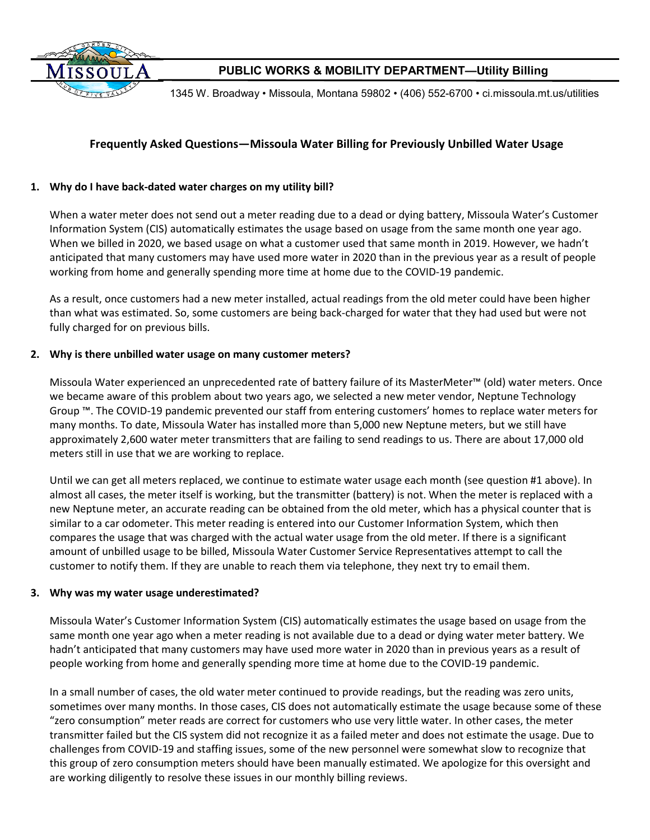

1345 W. Broadway • Missoula, Montana 59802 • (406) 552-6700 • ci.missoula.mt.us/utilities

## **Frequently Asked Questions—Missoula Water Billing for Previously Unbilled Water Usage**

### **1. Why do I have back-dated water charges on my utility bill?**

When a water meter does not send out a meter reading due to a dead or dying battery, Missoula Water's Customer Information System (CIS) automatically estimates the usage based on usage from the same month one year ago. When we billed in 2020, we based usage on what a customer used that same month in 2019. However, we hadn't anticipated that many customers may have used more water in 2020 than in the previous year as a result of people working from home and generally spending more time at home due to the COVID-19 pandemic.

As a result, once customers had a new meter installed, actual readings from the old meter could have been higher than what was estimated. So, some customers are being back-charged for water that they had used but were not fully charged for on previous bills.

#### **2. Why is there unbilled water usage on many customer meters?**

Missoula Water experienced an unprecedented rate of battery failure of its MasterMeter™ (old) water meters. Once we became aware of this problem about two years ago, we selected a new meter vendor, Neptune Technology Group ™. The COVID-19 pandemic prevented our staff from entering customers' homes to replace water meters for many months. To date, Missoula Water has installed more than 5,000 new Neptune meters, but we still have approximately 2,600 water meter transmitters that are failing to send readings to us. There are about 17,000 old meters still in use that we are working to replace.

Until we can get all meters replaced, we continue to estimate water usage each month (see question #1 above). In almost all cases, the meter itself is working, but the transmitter (battery) is not. When the meter is replaced with a new Neptune meter, an accurate reading can be obtained from the old meter, which has a physical counter that is similar to a car odometer. This meter reading is entered into our Customer Information System, which then compares the usage that was charged with the actual water usage from the old meter. If there is a significant amount of unbilled usage to be billed, Missoula Water Customer Service Representatives attempt to call the customer to notify them. If they are unable to reach them via telephone, they next try to email them.

#### **3. Why was my water usage underestimated?**

Missoula Water's Customer Information System (CIS) automatically estimates the usage based on usage from the same month one year ago when a meter reading is not available due to a dead or dying water meter battery. We hadn't anticipated that many customers may have used more water in 2020 than in previous years as a result of people working from home and generally spending more time at home due to the COVID-19 pandemic.

In a small number of cases, the old water meter continued to provide readings, but the reading was zero units, sometimes over many months. In those cases, CIS does not automatically estimate the usage because some of these "zero consumption" meter reads are correct for customers who use very little water. In other cases, the meter transmitter failed but the CIS system did not recognize it as a failed meter and does not estimate the usage. Due to challenges from COVID-19 and staffing issues, some of the new personnel were somewhat slow to recognize that this group of zero consumption meters should have been manually estimated. We apologize for this oversight and are working diligently to resolve these issues in our monthly billing reviews.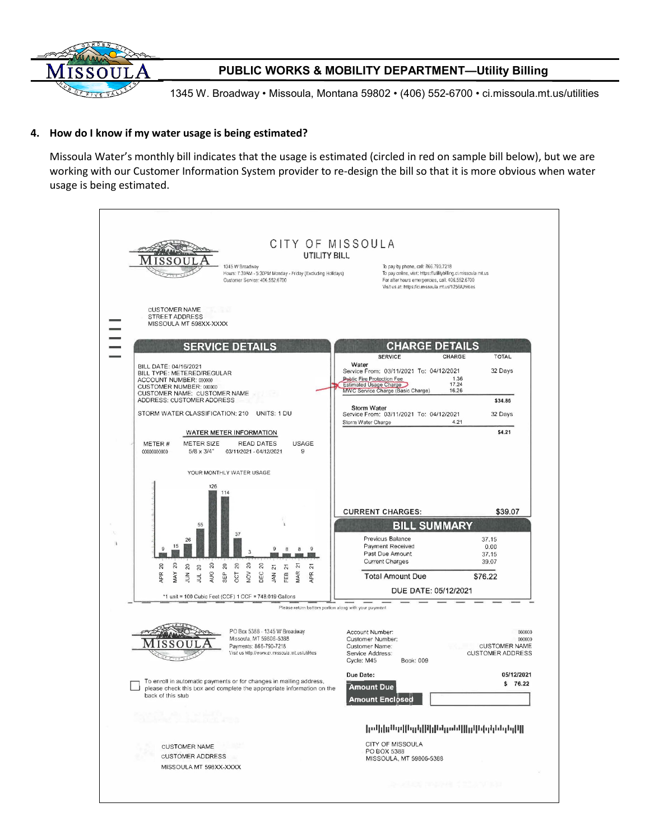

1345 W. Broadway • Missoula, Montana 59802 • (406) 552-6700 • ci.missoula.mt.us/utilities

#### **4. How do I know if my water usage is being estimated?**

Missoula Water's monthly bill indicates that the usage is estimated (circled in red on sample bill below), but we are working with our Customer Information System provider to re-design the bill so that it is more obvious when water usage is being estimated.

|                                                                                                                                          | CITY OF MISSOULA<br>UTILITY BILL<br>1345 W Broadway<br>Hours: 7:30AM - 5:30PM Monday - Friday (Excluding Holidays)<br>Customer Service: 406.552.6700 | To pay by phone, call: 866.790.7218<br>To pay online, visit: https://utilitybilling.ci.missoula.mt.us<br>For after hours emergencies, call: 406.552.6700<br>Visit us at: https://ci.missoula.mt.us/1256/Uhlities |                                                                     |
|------------------------------------------------------------------------------------------------------------------------------------------|------------------------------------------------------------------------------------------------------------------------------------------------------|------------------------------------------------------------------------------------------------------------------------------------------------------------------------------------------------------------------|---------------------------------------------------------------------|
|                                                                                                                                          | <b>CUSTOMER NAME</b><br><b>STREET ADDRESS</b><br>MISSOULA MT 598XX-XXXX                                                                              |                                                                                                                                                                                                                  |                                                                     |
|                                                                                                                                          | <b>SERVICE DETAILS</b>                                                                                                                               | <b>CHARGE DETAILS</b>                                                                                                                                                                                            |                                                                     |
| BILL DATE: 04/16/2021<br>BILL TYPE: METERED/REGULAR<br>ACCOUNT NUMBER: 000000<br>CUSTOMER NUMBER: 000000<br>CUSTOMER NAME: CUSTOMER NAME |                                                                                                                                                      | <b>SERVICE</b><br>Water<br>Service From: 03/11/2021 To: 04/12/2021<br><b>Public Fire Protection Fee</b><br><b>Estimated Usage Charge</b><br>MWC Service Charge (Basic Charge)                                    | CHARGE<br><b>TOTAL</b><br>32 Days<br>1.36<br>17.24<br>16.26         |
|                                                                                                                                          | ADDRESS: CUSTOMER ADDRESS                                                                                                                            | Storm Water                                                                                                                                                                                                      | \$34.86                                                             |
|                                                                                                                                          | STORM WATER CLASSIFICATION: 210<br>UNITS: 1 DU                                                                                                       | Service From: 03/11/2021 To: 04/12/2021<br>Storm Water Charge                                                                                                                                                    | 32 Days<br>4.21                                                     |
| METER#<br>00000000000                                                                                                                    | WATER METER INFORMATION<br><b>READ DATES</b><br><b>USAGE</b><br>METER SIZE<br>9<br>$5/8 \times 3/4$ "<br>03/11/2021 - 04/12/2021                     |                                                                                                                                                                                                                  | \$4.21                                                              |
|                                                                                                                                          | YOUR MONTHLY WATER USAGE                                                                                                                             |                                                                                                                                                                                                                  |                                                                     |
|                                                                                                                                          | 126<br>114                                                                                                                                           | <b>CURRENT CHARGES:</b>                                                                                                                                                                                          | \$39.07                                                             |
|                                                                                                                                          | 55<br>37<br>26<br>15                                                                                                                                 | <b>BILL SUMMARY</b><br>Previous Balance<br><b>Payment Received</b><br>Past Due Amount                                                                                                                            | 37.15<br>0.00<br>37.15                                              |
| $\boldsymbol{\mathcal{Z}}$                                                                                                               | $\overline{c}$<br>$\approx$<br>20<br>20<br>$\approx$<br>20<br>20<br>24<br>51<br>20<br>51<br>21                                                       | <b>Current Charges</b>                                                                                                                                                                                           | 39.07                                                               |
| APR                                                                                                                                      | MAR<br>$\geq$<br>AUG<br>MAY<br>DEC<br><b>APR</b><br>SEP<br><b>CCT</b><br>FEB<br>KN<br>$\frac{2}{3}$<br>$\frac{1}{2}$                                 | <b>Total Amount Due</b>                                                                                                                                                                                          | \$76.22                                                             |
|                                                                                                                                          | *1 unit = 100 Cubic Feet (CCF) 1 CCF = 748.019 Gallons                                                                                               | DUE DATE: 05/12/2021<br>Please return bottom portion along with your payment                                                                                                                                     |                                                                     |
|                                                                                                                                          | PO Box 5388 - 1345 W Broadway<br>Missoula. MT 59806-5388<br>Payments: 866-790-7218<br>Visit us http://www.ci.missoula.mt.us/utilities                | Account Number:<br>Customer Number:<br>Customer Name:<br>Service Address:<br>Cycle: M45<br>Book: 009                                                                                                             | 000000<br>000000<br><b>CUSTOMER NAME</b><br><b>CUSTOMER ADDRESS</b> |
| back of this stub                                                                                                                        | To enroll in automatic payments or for changes in mailing address,<br>please check this box and complete the appropriate information on the          | Due Date:<br><b>Amount Due</b><br>Amount Enclösed                                                                                                                                                                | 05/12/2021<br>\$76.22                                               |
|                                                                                                                                          | and control and a not posted<br>an away to build the                                                                                                 |                                                                                                                                                                                                                  | իսկին հղիկրին մարդնելի կուների կազմական                             |
|                                                                                                                                          |                                                                                                                                                      | CITY OF MISSOULA<br>PO BOX 5388<br>MISSOULA, MT 59806-5388                                                                                                                                                       |                                                                     |
|                                                                                                                                          | <b>CUSTOMER NAME</b><br>- 84<br><b>CUSTOMER ADDRESS</b><br>MISSOULA MT 598XX-XXXX                                                                    |                                                                                                                                                                                                                  |                                                                     |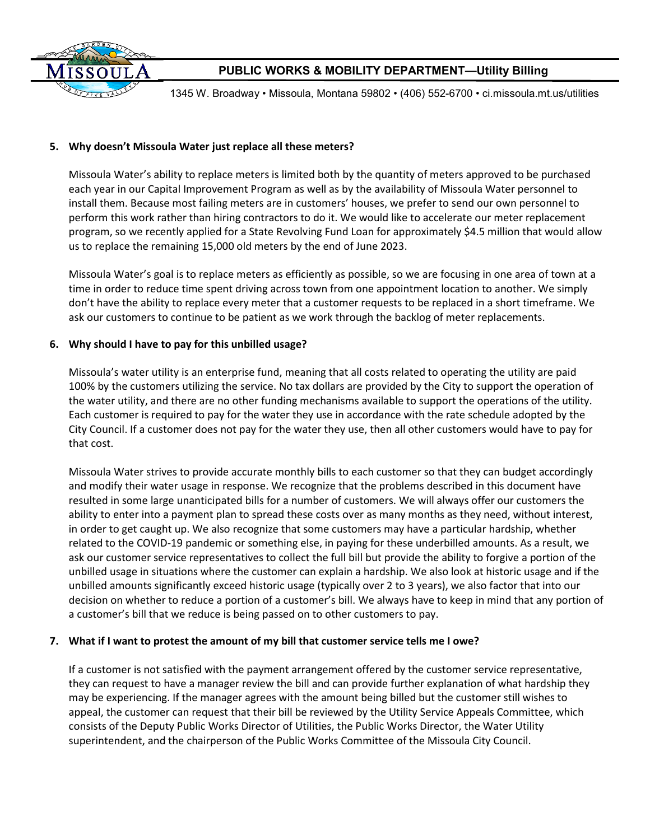

1345 W. Broadway • Missoula, Montana 59802 • (406) 552-6700 • ci.missoula.mt.us/utilities

### **5. Why doesn't Missoula Water just replace all these meters?**

Missoula Water's ability to replace meters is limited both by the quantity of meters approved to be purchased each year in our Capital Improvement Program as well as by the availability of Missoula Water personnel to install them. Because most failing meters are in customers' houses, we prefer to send our own personnel to perform this work rather than hiring contractors to do it. We would like to accelerate our meter replacement program, so we recently applied for a State Revolving Fund Loan for approximately \$4.5 million that would allow us to replace the remaining 15,000 old meters by the end of June 2023.

Missoula Water's goal is to replace meters as efficiently as possible, so we are focusing in one area of town at a time in order to reduce time spent driving across town from one appointment location to another. We simply don't have the ability to replace every meter that a customer requests to be replaced in a short timeframe. We ask our customers to continue to be patient as we work through the backlog of meter replacements.

### **6. Why should I have to pay for this unbilled usage?**

Missoula's water utility is an enterprise fund, meaning that all costs related to operating the utility are paid 100% by the customers utilizing the service. No tax dollars are provided by the City to support the operation of the water utility, and there are no other funding mechanisms available to support the operations of the utility. Each customer is required to pay for the water they use in accordance with the rate schedule adopted by the City Council. If a customer does not pay for the water they use, then all other customers would have to pay for that cost.

Missoula Water strives to provide accurate monthly bills to each customer so that they can budget accordingly and modify their water usage in response. We recognize that the problems described in this document have resulted in some large unanticipated bills for a number of customers. We will always offer our customers the ability to enter into a payment plan to spread these costs over as many months as they need, without interest, in order to get caught up. We also recognize that some customers may have a particular hardship, whether related to the COVID-19 pandemic or something else, in paying for these underbilled amounts. As a result, we ask our customer service representatives to collect the full bill but provide the ability to forgive a portion of the unbilled usage in situations where the customer can explain a hardship. We also look at historic usage and if the unbilled amounts significantly exceed historic usage (typically over 2 to 3 years), we also factor that into our decision on whether to reduce a portion of a customer's bill. We always have to keep in mind that any portion of a customer's bill that we reduce is being passed on to other customers to pay.

#### **7. What if I want to protest the amount of my bill that customer service tells me I owe?**

If a customer is not satisfied with the payment arrangement offered by the customer service representative, they can request to have a manager review the bill and can provide further explanation of what hardship they may be experiencing. If the manager agrees with the amount being billed but the customer still wishes to appeal, the customer can request that their bill be reviewed by the Utility Service Appeals Committee, which consists of the Deputy Public Works Director of Utilities, the Public Works Director, the Water Utility superintendent, and the chairperson of the Public Works Committee of the Missoula City Council.